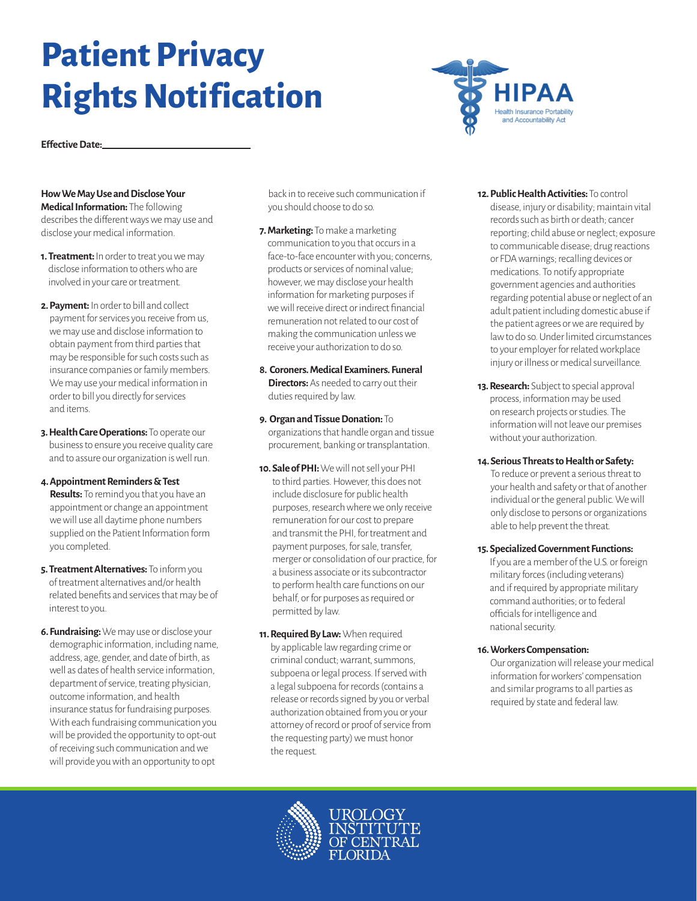# **Patient Privacy Rights Notification**



**Effective Date:**

## **How We May Use and Disclose Your**

**Medical Information:** The following describes the different ways we may use and disclose your medical information.

- **1. Treatment:** In order to treat you we may disclose information to others who are involved in your care or treatment.
- **2. Payment:** In order to bill and collect payment for services you receive from us, we may use and disclose information to obtain payment from third parties that may be responsible for such costs such as insurance companies or family members. We may use your medical information in order to bill you directly for services and items.
- **3. Health Care Operations:** To operate our business to ensure you receive quality care and to assure our organization is well run.

#### **4. Appointment Reminders & Test**

**Results:** To remind you that you have an appointment or change an appointment we will use all daytime phone numbers supplied on the Patient Information form you completed.

- **5. Treatment Alternatives:** To inform you of treatment alternatives and/or health related benefits and services that may be of interest to you.
- **6. Fundraising:** We may use or disclose your demographic information, including name, address, age, gender, and date of birth, as well as dates of health service information, department of service, treating physician, outcome information, and health insurance status for fundraising purposes. With each fundraising communication you will be provided the opportunity to opt-out of receiving such communication and we will provide you with an opportunity to opt

back in to receive such communication if you should choose to do so.

- **7. Marketing:** To make a marketing communication to you that occurs in a face-to-face encounter with you; concerns, products or services of nominal value; however, we may disclose your health information for marketing purposes if we will receive direct or indirect financial remuneration not related to our cost of making the communication unless we receive your authorization to do so.
- **8. Coroners. Medical Examiners. Funeral Directors:** As needed to carry out their duties required by law.
- **9. Organ and Tissue Donation:** To organizations that handle organ and tissue procurement, banking or transplantation.
- **10. Sale of PHI:** We will not sell your PHI to third parties. However, this does not include disclosure for public health purposes, research where we only receive remuneration for our cost to prepare and transmit the PHI, for treatment and payment purposes, for sale, transfer, merger or consolidation of our practice, for a business associate or its subcontractor to perform health care functions on our behalf, or for purposes as required or permitted by law.
- **11. Required By Law:** When required by applicable law regarding crime or criminal conduct; warrant, summons, subpoena or legal process. If served with a legal subpoena for records (contains a release or records signed by you or verbal authorization obtained from you or your attorney of record or proof of service from the requesting party) we must honor the request.
- **12. Public Health Activities:** To control disease, injury or disability; maintain vital records such as birth or death; cancer reporting; child abuse or neglect; exposure to communicable disease; drug reactions or FDA warnings; recalling devices or medications. To notify appropriate government agencies and authorities regarding potential abuse or neglect of an adult patient including domestic abuse if the patient agrees or we are required by law to do so. Under limited circumstances to your employer for related workplace injury or illness or medical surveillance.
- **13. Research:** Subject to special approval process, information may be used on research projects or studies. The information will not leave our premises without your authorization.
- **14. Serious Threats to Health or Safety:**  To reduce or prevent a serious threat to your health and safety or that of another individual or the general public. We will only disclose to persons or organizations able to help prevent the threat.
- **15. Specialized Government Functions:**

If you are a member of the U.S. or foreign military forces (including veterans) and if required by appropriate military command authorities; or to federal officials for intelligence and national security.

**16. Workers Compensation:** 

Our organization will release your medical information for workers' compensation and similar programs to all parties as required by state and federal law.

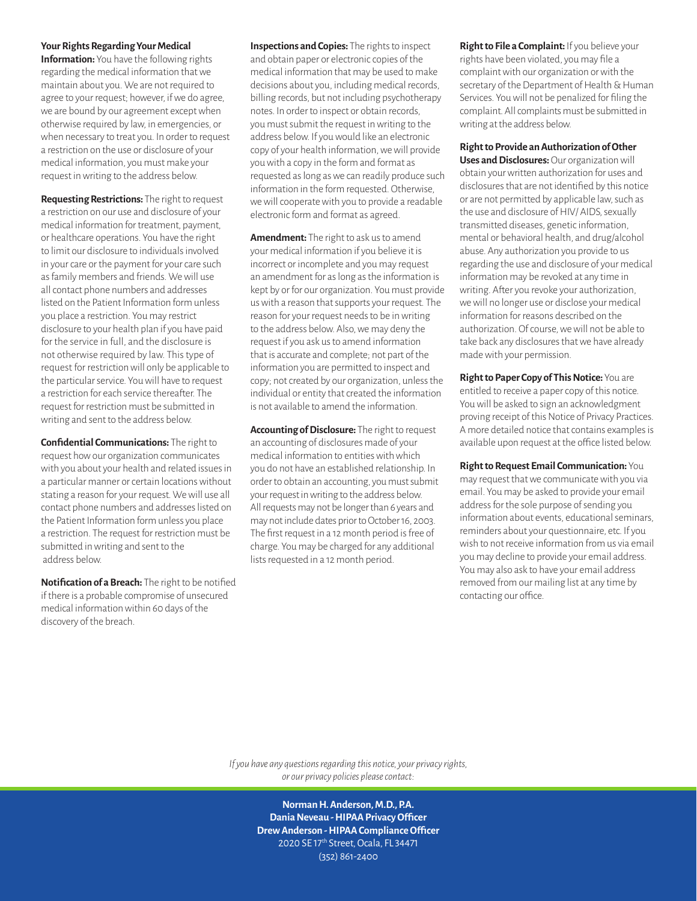#### **Your Rights Regarding Your Medical**

**Information:** You have the following rights regarding the medical information that we maintain about you. We are not required to agree to your request; however, if we do agree, we are bound by our agreement except when otherwise required by law, in emergencies, or when necessary to treat you. In order to request a restriction on the use or disclosure of your medical information, you must make your request in writing to the address below.

**Requesting Restrictions:** The right to request a restriction on our use and disclosure of your medical information for treatment, payment, or healthcare operations. You have the right to limit our disclosure to individuals involved in your care or the payment for your care such as family members and friends. We will use all contact phone numbers and addresses listed on the Patient Information form unless you place a restriction. You may restrict disclosure to your health plan if you have paid for the service in full, and the disclosure is not otherwise required by law. This type of request for restriction will only be applicable to the particular service. You will have to request a restriction for each service thereafter. The request for restriction must be submitted in writing and sent to the address below.

**Confidential Communications:** The right to request how our organization communicates with you about your health and related issues in a particular manner or certain locations without stating a reason for your request. We will use all contact phone numbers and addresses listed on the Patient Information form unless you place a restriction. The request for restriction must be submitted in writing and sent to the address below.

**Notification of a Breach:** The right to be notified if there is a probable compromise of unsecured medical information within 60 days of the discovery of the breach.

**Inspections and Copies:** The rights to inspect and obtain paper or electronic copies of the medical information that may be used to make decisions about you, including medical records, billing records, but not including psychotherapy notes. In order to inspect or obtain records, you must submit the request in writing to the address below. If you would like an electronic copy of your health information, we will provide you with a copy in the form and format as requested as long as we can readily produce such information in the form requested. Otherwise, we will cooperate with you to provide a readable electronic form and format as agreed.

**Amendment:** The right to ask us to amend your medical information if you believe it is incorrect or incomplete and you may request an amendment for as long as the information is kept by or for our organization. You must provide us with a reason that supports your request. The reason for your request needs to be in writing to the address below. Also, we may deny the request if you ask us to amend information that is accurate and complete; not part of the information you are permitted to inspect and copy; not created by our organization, unless the individual or entity that created the information is not available to amend the information.

**Accounting of Disclosure:** The right to request an accounting of disclosures made of your medical information to entities with which you do not have an established relationship. In order to obtain an accounting, you must submit your request in writing to the address below. All requests may not be longer than 6 years and may not include dates prior to October 16, 2003. The first request in a 12 month period is free of charge. You may be charged for any additional lists requested in a 12 month period.

**Right to File a Complaint:** If you believe your rights have been violated, you may file a complaint with our organization or with the secretary of the Department of Health & Human Services. You will not be penalized for filing the complaint. All complaints must be submitted in writing at the address below.

#### **Right to Provide an Authorization of Other**

**Uses and Disclosures:** Our organization will obtain your written authorization for uses and disclosures that are not identified by this notice or are not permitted by applicable law, such as the use and disclosure of HIV/ AIDS, sexually transmitted diseases, genetic information, mental or behavioral health, and drug/alcohol abuse. Any authorization you provide to us regarding the use and disclosure of your medical information may be revoked at any time in writing. After you revoke your authorization, we will no longer use or disclose your medical information for reasons described on the authorization. Of course, we will not be able to take back any disclosures that we have already made with your permission.

**Right to Paper Copy of This Notice:** You are entitled to receive a paper copy of this notice. You will be asked to sign an acknowledgment proving receipt of this Notice of Privacy Practices. A more detailed notice that contains examples is available upon request at the office listed below.

**Right to Request Email Communication:** You may request that we communicate with you via email. You may be asked to provide your email address for the sole purpose of sending you information about events, educational seminars, reminders about your questionnaire, etc. If you wish to not receive information from us via email you may decline to provide your email address. You may also ask to have your email address removed from our mailing list at any time by contacting our office.

*If you have any questions regarding this notice, your privacy rights, or our privacy policies please contact:* 

> **Norman H. Anderson, M.D., P.A. Dania Neveau - HIPAA Privacy Officer Drew Anderson - HIPAA Compliance Officer**  2020 SE 17th Street, Ocala, FL 34471 (352) 861-2400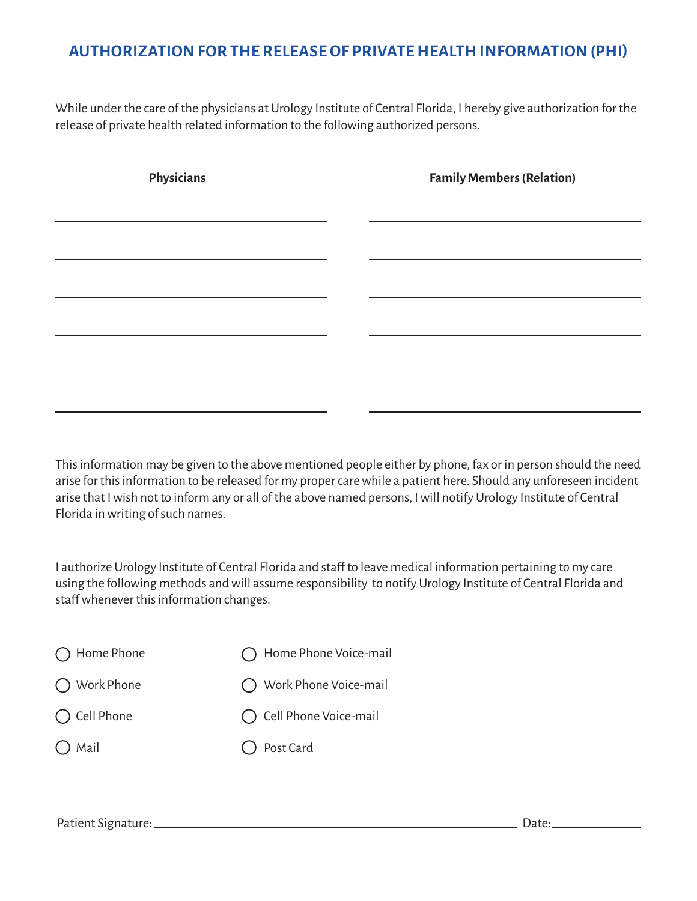# **AUTHORIZATION FOR THE RELEASE OF PRIVATE HEALTH INFORMATION (PHI)**

While under the care of the physicians at Urology Institute of Central Florida, I hereby give authorization for the release of private health related information to the following authorized persons.

| Physicians | <b>Family Members (Relation)</b> |
|------------|----------------------------------|
|            |                                  |
|            |                                  |
|            |                                  |
|            |                                  |
|            |                                  |
|            |                                  |

This information may be given to the above mentioned people either by phone, fax or in person should the need arise for this information to be released for my proper care while a patient here. Should any unforeseen incident arise that I wish not to inform any or all of the above named persons, I will notify Urology Institute of Central Florida in writing of such names.

I authorize Urology Institute of Central Florida and staff to leave medical information pertaining to my care using the following methods and will assume responsibility to notify Urology Institute of Central Florida and staff whenever this information changes.

| (C) Home Phone Voice-mail |
|---------------------------|
| ◯ Work Phone Voice-mail   |
| ◯ Cell Phone Voice-mail   |
| ◯ Post Card               |
|                           |